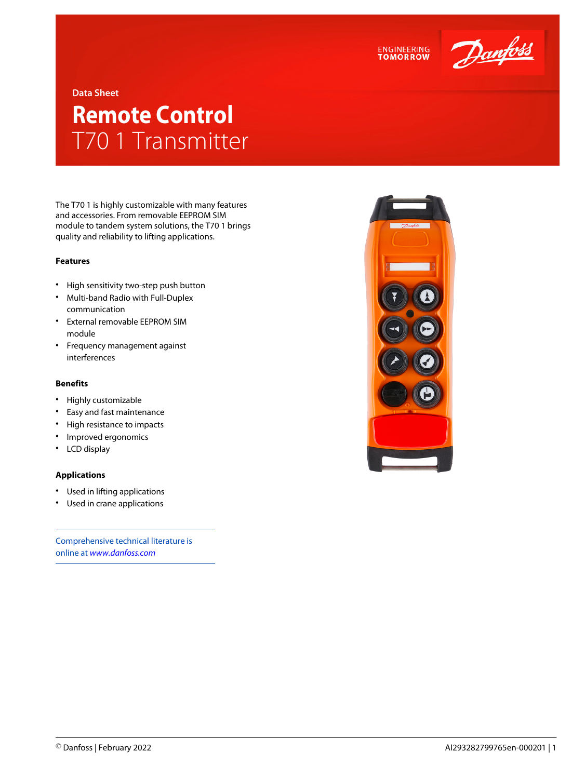



**Data Sheet**

## **Remote Control** T70 1 Transmitter

The T70 1 is highly customizable with many features and accessories. From removable EEPROM SIM module to tandem system solutions, the T70 1 brings quality and reliability to lifting applications.

## **Features**

- High sensitivity two-step push button
- Multi-band Radio with Full-Duplex communication
- External removable EEPROM SIM module
- Frequency management against interferences

## **Benefits**

- Highly customizable
- Easy and fast maintenance
- High resistance to impacts
- Improved ergonomics
- LCD display

## **Applications**

- Used in lifting applications
- Used in crane applications

Comprehensive technical literature is online at *[www.danfoss.com](https://www.danfoss.com/en/search/?filter=type%3Adocumentation%2Csegment%3Adps)*